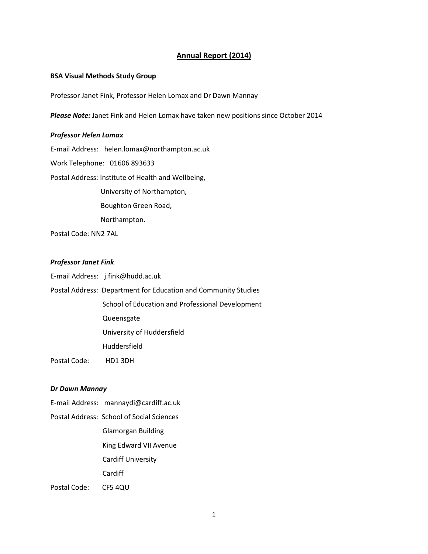## **Annual Report (2014)**

## **BSA Visual Methods Study Group**

Professor Janet Fink, Professor Helen Lomax and Dr Dawn Mannay

*Please Note:* Janet Fink and Helen Lomax have taken new positions since October 2014

## *Professor Helen Lomax*

E-mail Address: helen.lomax@northampton.ac.uk

Work Telephone: 01606 893633

Postal Address: Institute of Health and Wellbeing,

University of Northampton,

Boughton Green Road,

Northampton.

Postal Code: NN2 7AL

## *Professor Janet Fink*

| E-mail Address: j.fink@hudd.ac.uk |  |
|-----------------------------------|--|
|-----------------------------------|--|

Postal Address: Department for Education and Community Studies School of Education and Professional Development Queensgate University of Huddersfield Huddersfield

Postal Code: HD1 3DH

## *Dr Dawn Mannay*

- E-mail Address: mannaydi@cardiff.ac.uk
- Postal Address: School of Social Sciences Glamorgan Building King Edward VII Avenue Cardiff University **Cardiff** Postal Code: CF5 4QU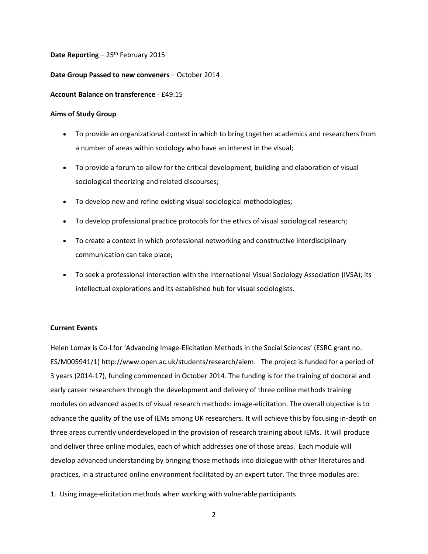**Date Reporting** – 25<sup>th</sup> February 2015

## **Date Group Passed to new conveners** – October 2014

## **Account Balance on transference** - £49.15

## **Aims of Study Group**

- To provide an organizational context in which to bring together academics and researchers from a number of areas within sociology who have an interest in the visual;
- To provide a forum to allow for the critical development, building and elaboration of visual sociological theorizing and related discourses;
- To develop new and refine existing visual sociological methodologies;
- To develop professional practice protocols for the ethics of visual sociological research;
- To create a context in which professional networking and constructive interdisciplinary communication can take place;
- To seek a professional interaction with the International Visual Sociology Association (IVSA); its intellectual explorations and its established hub for visual sociologists.

## **Current Events**

Helen Lomax is Co-I for 'Advancing Image-Elicitation Methods in the Social Sciences' (ESRC grant no. ES/M005941/1) http://www.open.ac.uk/students/research/aiem. The project is funded for a period of 3 years (2014-17), funding commenced in October 2014. The funding is for the training of doctoral and early career researchers through the development and delivery of three online methods training modules on advanced aspects of visual research methods: image-elicitation. The overall objective is to advance the quality of the use of IEMs among UK researchers. It will achieve this by focusing in-depth on three areas currently underdeveloped in the provision of research training about IEMs. It will produce and deliver three online modules, each of which addresses one of those areas. Each module will develop advanced understanding by bringing those methods into dialogue with other literatures and practices, in a structured online environment facilitated by an expert tutor. The three modules are:

1. Using image-elicitation methods when working with vulnerable participants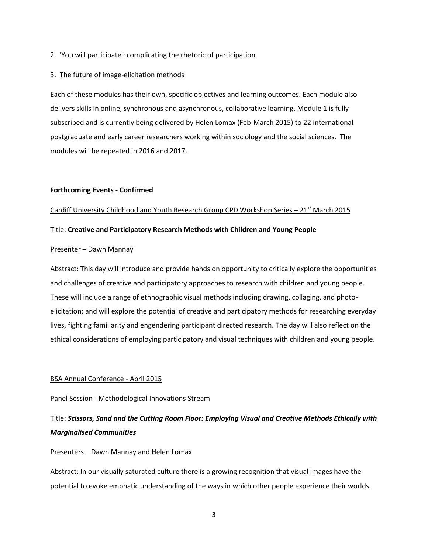2. 'You will participate': complicating the rhetoric of participation

### 3. The future of image-elicitation methods

Each of these modules has their own, specific objectives and learning outcomes. Each module also delivers skills in online, synchronous and asynchronous, collaborative learning. Module 1 is fully subscribed and is currently being delivered by Helen Lomax (Feb-March 2015) to 22 international postgraduate and early career researchers working within sociology and the social sciences. The modules will be repeated in 2016 and 2017.

#### **Forthcoming Events - Confirmed**

#### Cardiff University Childhood and Youth Research Group CPD Workshop Series  $-21$ <sup>st</sup> March 2015

## Title: **Creative and Participatory Research Methods with Children and Young People**

### Presenter – Dawn Mannay

Abstract: This day will introduce and provide hands on opportunity to critically explore the opportunities and challenges of creative and participatory approaches to research with children and young people. These will include a range of ethnographic visual methods including drawing, collaging, and photoelicitation; and will explore the potential of creative and participatory methods for researching everyday lives, fighting familiarity and engendering participant directed research. The day will also reflect on the ethical considerations of employing participatory and visual techniques with children and young people.

#### BSA Annual Conference - April 2015

Panel Session - Methodological Innovations Stream

# Title: *Scissors, Sand and the Cutting Room Floor: Employing Visual and Creative Methods Ethically with Marginalised Communities*

Presenters – Dawn Mannay and Helen Lomax

Abstract: In our visually saturated culture there is a growing recognition that visual images have the potential to evoke emphatic understanding of the ways in which other people experience their worlds.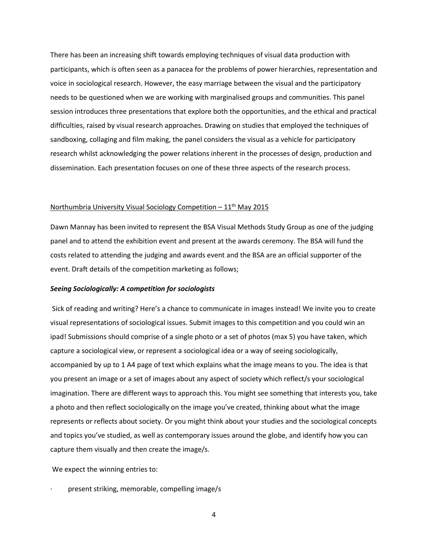There has been an increasing shift towards employing techniques of visual data production with participants, which is often seen as a panacea for the problems of power hierarchies, representation and voice in sociological research. However, the easy marriage between the visual and the participatory needs to be questioned when we are working with marginalised groups and communities. This panel session introduces three presentations that explore both the opportunities, and the ethical and practical difficulties, raised by visual research approaches. Drawing on studies that employed the techniques of sandboxing, collaging and film making, the panel considers the visual as a vehicle for participatory research whilst acknowledging the power relations inherent in the processes of design, production and dissemination. Each presentation focuses on one of these three aspects of the research process.

## Northumbria University Visual Sociology Competition  $-11<sup>th</sup>$  May 2015

Dawn Mannay has been invited to represent the BSA Visual Methods Study Group as one of the judging panel and to attend the exhibition event and present at the awards ceremony. The BSA will fund the costs related to attending the judging and awards event and the BSA are an official supporter of the event. Draft details of the competition marketing as follows;

### *Seeing Sociologically: A competition for sociologists*

Sick of reading and writing? Here's a chance to communicate in images instead! We invite you to create visual representations of sociological issues. Submit images to this competition and you could win an ipad! Submissions should comprise of a single photo or a set of photos (max 5) you have taken, which capture a sociological view, or represent a sociological idea or a way of seeing sociologically, accompanied by up to 1 A4 page of text which explains what the image means to you. The idea is that you present an image or a set of images about any aspect of society which reflect/s your sociological imagination. There are different ways to approach this. You might see something that interests you, take a photo and then reflect sociologically on the image you've created, thinking about what the image represents or reflects about society. Or you might think about your studies and the sociological concepts and topics you've studied, as well as contemporary issues around the globe, and identify how you can capture them visually and then create the image/s.

We expect the winning entries to:

present striking, memorable, compelling image/s

4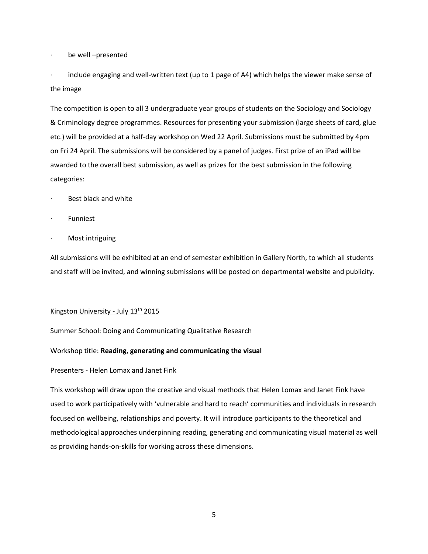· be well –presented

· include engaging and well-written text (up to 1 page of A4) which helps the viewer make sense of the image

The competition is open to all 3 undergraduate year groups of students on the Sociology and Sociology & Criminology degree programmes. Resources for presenting your submission (large sheets of card, glue etc.) will be provided at a half-day workshop on Wed 22 April. Submissions must be submitted by 4pm on Fri 24 April. The submissions will be considered by a panel of judges. First prize of an iPad will be awarded to the overall best submission, as well as prizes for the best submission in the following categories:

- Best black and white
- **Funniest**
- Most intriguing

All submissions will be exhibited at an end of semester exhibition in Gallery North, to which all students and staff will be invited, and winning submissions will be posted on departmental website and publicity.

## Kingston University - July 13<sup>th</sup> 2015

Summer School: Doing and Communicating Qualitative Research

## Workshop title: **Reading, generating and communicating the visual**

## Presenters - Helen Lomax and Janet Fink

This workshop will draw upon the creative and visual methods that Helen Lomax and Janet Fink have used to work participatively with 'vulnerable and hard to reach' communities and individuals in research focused on wellbeing, relationships and poverty. It will introduce participants to the theoretical and methodological approaches underpinning reading, generating and communicating visual material as well as providing hands-on-skills for working across these dimensions.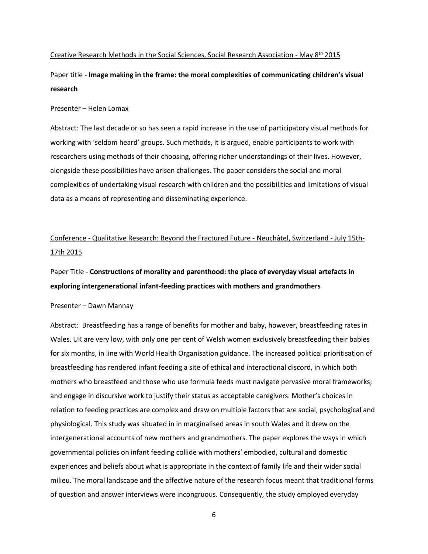## Creative Research Methods in the Social Sciences, Social Research Association - May 8th 2015

Paper title - **Image making in the frame: the moral complexities of communicating children's visual research** 

#### Presenter – Helen Lomax

Abstract: The last decade or so has seen a rapid increase in the use of participatory visual methods for working with 'seldom heard' groups. Such methods, it is argued, enable participants to work with researchers using methods of their choosing, offering richer understandings of their lives. However, alongside these possibilities have arisen challenges. The paper considers the social and moral complexities of undertaking visual research with children and the possibilities and limitations of visual data as a means of representing and disseminating experience.

# Conference - Qualitative Research: Beyond the Fractured Future - Neuchâtel, Switzerland - July 15th-17th 2015

Paper Title - **Constructions of morality and parenthood: the place of everyday visual artefacts in exploring intergenerational infant-feeding practices with mothers and grandmothers**

#### Presenter – Dawn Mannay

Abstract: Breastfeeding has a range of benefits for mother and baby, however, breastfeeding rates in Wales, UK are very low, with only one per cent of Welsh women exclusively breastfeeding their babies for six months, in line with World Health Organisation guidance. The increased political prioritisation of breastfeeding has rendered infant feeding a site of ethical and interactional discord, in which both mothers who breastfeed and those who use formula feeds must navigate pervasive moral frameworks; and engage in discursive work to justify their status as acceptable caregivers. Mother's choices in relation to feeding practices are complex and draw on multiple factors that are social, psychological and physiological. This study was situated in in marginalised areas in south Wales and it drew on the intergenerational accounts of new mothers and grandmothers. The paper explores the ways in which governmental policies on infant feeding collide with mothers' embodied, cultural and domestic experiences and beliefs about what is appropriate in the context of family life and their wider social milieu. The moral landscape and the affective nature of the research focus meant that traditional forms of question and answer interviews were incongruous. Consequently, the study employed everyday

6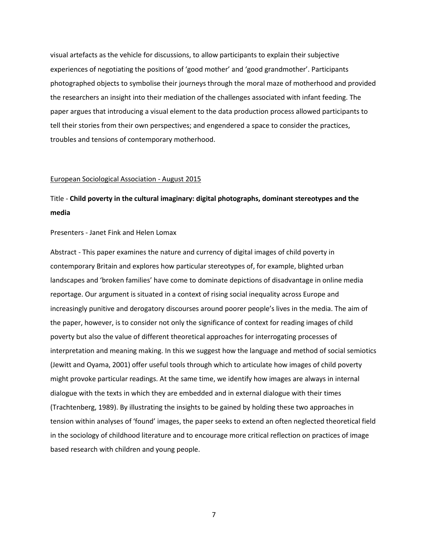visual artefacts as the vehicle for discussions, to allow participants to explain their subjective experiences of negotiating the positions of 'good mother' and 'good grandmother'. Participants photographed objects to symbolise their journeys through the moral maze of motherhood and provided the researchers an insight into their mediation of the challenges associated with infant feeding. The paper argues that introducing a visual element to the data production process allowed participants to tell their stories from their own perspectives; and engendered a space to consider the practices, troubles and tensions of contemporary motherhood.

#### European Sociological Association - August 2015

# Title - **Child poverty in the cultural imaginary: digital photographs, dominant stereotypes and the media**

#### Presenters - Janet Fink and Helen Lomax

Abstract - This paper examines the nature and currency of digital images of child poverty in contemporary Britain and explores how particular stereotypes of, for example, blighted urban landscapes and 'broken families' have come to dominate depictions of disadvantage in online media reportage. Our argument is situated in a context of rising social inequality across Europe and increasingly punitive and derogatory discourses around poorer people's lives in the media. The aim of the paper, however, is to consider not only the significance of context for reading images of child poverty but also the value of different theoretical approaches for interrogating processes of interpretation and meaning making. In this we suggest how the language and method of social semiotics (Jewitt and Oyama, 2001) offer useful tools through which to articulate how images of child poverty might provoke particular readings. At the same time, we identify how images are always in internal dialogue with the texts in which they are embedded and in external dialogue with their times (Trachtenberg, 1989). By illustrating the insights to be gained by holding these two approaches in tension within analyses of 'found' images, the paper seeks to extend an often neglected theoretical field in the sociology of childhood literature and to encourage more critical reflection on practices of image based research with children and young people.

7